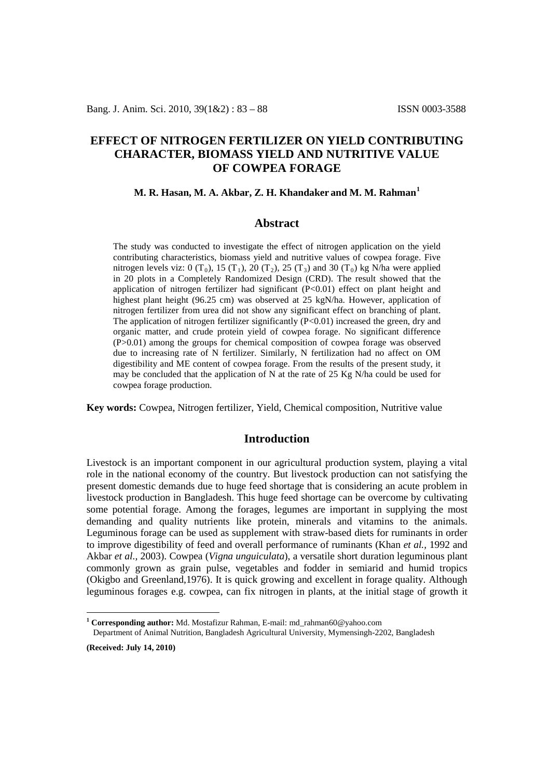# **EFFECT OF NITROGEN FERTILIZER ON YIELD CONTRIBUTING CHARACTER, BIOMASS YIELD AND NUTRITIVE VALUE OF COWPEA FORAGE**

#### **M. R. Hasan, M. A. Akbar, Z. H. Khandaker and M. M. Rahman[1](#page-0-0)**

### **Abstract**

The study was conducted to investigate the effect of nitrogen application on the yield contributing characteristics, biomass yield and nutritive values of cowpea forage. Five nitrogen levels viz: 0  $(T_0)$ , 15  $(T_1)$ , 20  $(T_2)$ , 25  $(T_3)$  and 30  $(T_0)$  kg N/ha were applied in 20 plots in a Completely Randomized Design (CRD). The result showed that the application of nitrogen fertilizer had significant (P<0.01) effect on plant height and highest plant height (96.25 cm) was observed at 25 kgN/ha. However, application of nitrogen fertilizer from urea did not show any significant effect on branching of plant. The application of nitrogen fertilizer significantly  $(P<0.01)$  increased the green, dry and organic matter, and crude protein yield of cowpea forage. No significant difference (P>0.01) among the groups for chemical composition of cowpea forage was observed due to increasing rate of N fertilizer. Similarly, N fertilization had no affect on OM digestibility and ME content of cowpea forage. From the results of the present study, it may be concluded that the application of N at the rate of 25 Kg N/ha could be used for cowpea forage production.

**Key words:** Cowpea, Nitrogen fertilizer, Yield, Chemical composition, Nutritive value

## **Introduction**

Livestock is an important component in our agricultural production system, playing a vital role in the national economy of the country. But livestock production can not satisfying the present domestic demands due to huge feed shortage that is considering an acute problem in livestock production in Bangladesh. This huge feed shortage can be overcome by cultivating some potential forage. Among the forages, legumes are important in supplying the most demanding and quality nutrients like protein, minerals and vitamins to the animals. Leguminous forage can be used as supplement with straw-based diets for ruminants in order to improve digestibility of feed and overall performance of ruminants (Khan *et al.,* 1992 and Akbar *et al.,* 2003). Cowpea (*Vigna unguiculata*), a versatile short duration leguminous plant commonly grown as grain pulse, vegetables and fodder in semiarid and humid tropics (Okigbo and Greenland,1976). It is quick growing and excellent in forage quality. Although leguminous forages e.g. cowpea, can fix nitrogen in plants, at the initial stage of growth it

**(Received: July 14, 2010)**

<span id="page-0-0"></span>**<sup>1</sup> Corresponding author:** Md. Mostafizur Rahman, E-mail: md\_rahman60@yahoo.com

Department of Animal Nutrition, Bangladesh Agricultural University, Mymensingh-2202, Bangladesh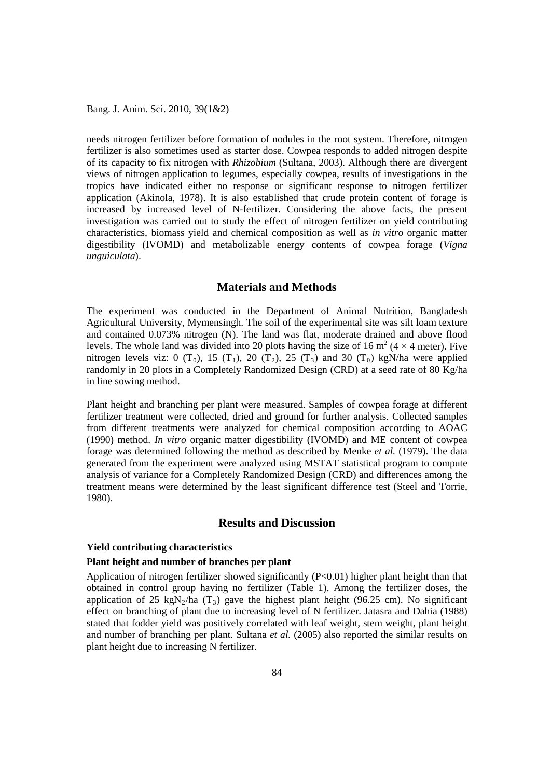Bang. J. Anim. Sci. 2010, 39(1&2)

needs nitrogen fertilizer before formation of nodules in the root system. Therefore, nitrogen fertilizer is also sometimes used as starter dose. Cowpea responds to added nitrogen despite of its capacity to fix nitrogen with *Rhizobium* (Sultana, 2003). Although there are divergent views of nitrogen application to legumes, especially cowpea, results of investigations in the tropics have indicated either no response or significant response to nitrogen fertilizer application (Akinola, 1978). It is also established that crude protein content of forage is increased by increased level of N-fertilizer. Considering the above facts, the present investigation was carried out to study the effect of nitrogen fertilizer on yield contributing characteristics, biomass yield and chemical composition as well as *in vitro* organic matter digestibility (IVOMD) and metabolizable energy contents of cowpea forage (*Vigna unguiculata*).

## **Materials and Methods**

The experiment was conducted in the Department of Animal Nutrition, Bangladesh Agricultural University, Mymensingh. The soil of the experimental site was silt loam texture and contained 0.073% nitrogen (N). The land was flat, moderate drained and above flood levels. The whole land was divided into 20 plots having the size of 16 m<sup>2</sup> (4  $\times$  4 meter). Five nitrogen levels viz: 0  $(T_0)$ , 15  $(T_1)$ , 20  $(T_2)$ , 25  $(T_3)$  and 30  $(T_0)$  kgN/ha were applied randomly in 20 plots in a Completely Randomized Design (CRD) at a seed rate of 80 Kg/ha in line sowing method.

Plant height and branching per plant were measured. Samples of cowpea forage at different fertilizer treatment were collected, dried and ground for further analysis. Collected samples from different treatments were analyzed for chemical composition according to AOAC (1990) method. *In vitro* organic matter digestibility (IVOMD) and ME content of cowpea forage was determined following the method as described by Menke *et al.* (1979). The data generated from the experiment were analyzed using MSTAT statistical program to compute analysis of variance for a Completely Randomized Design (CRD) and differences among the treatment means were determined by the least significant difference test (Steel and Torrie, 1980).

# **Results and Discussion**

#### **Yield contributing characteristics**

## **Plant height and number of branches per plant**

Application of nitrogen fertilizer showed significantly  $(P<0.01)$  higher plant height than that obtained in control group having no fertilizer (Table 1). Among the fertilizer doses, the application of 25 kgN<sub>2</sub>/ha (T<sub>3</sub>) gave the highest plant height (96.25 cm). No significant effect on branching of plant due to increasing level of N fertilizer. Jatasra and Dahia (1988) stated that fodder yield was positively correlated with leaf weight, stem weight, plant height and number of branching per plant. Sultana *et al.* (2005) also reported the similar results on plant height due to increasing N fertilizer.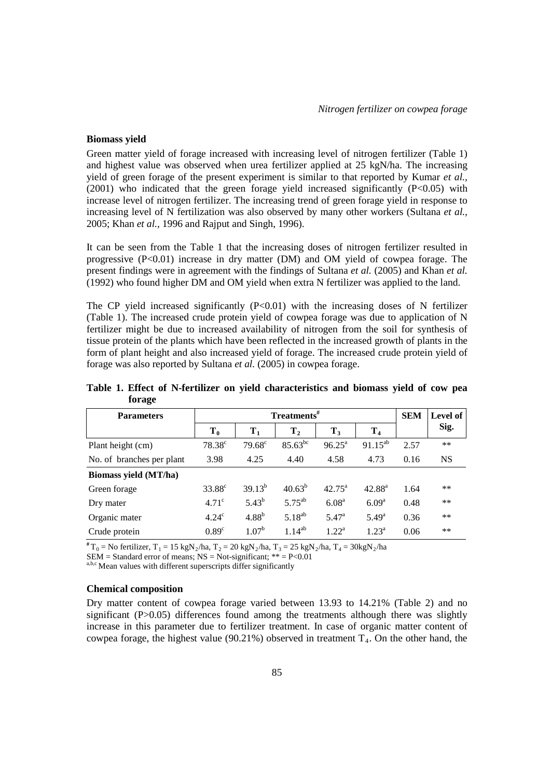### **Biomass yield**

Green matter yield of forage increased with increasing level of nitrogen fertilizer (Table 1) and highest value was observed when urea fertilizer applied at 25 kgN/ha. The increasing yield of green forage of the present experiment is similar to that reported by Kumar *et al.,* (2001) who indicated that the green forage yield increased significantly  $(P<0.05)$  with increase level of nitrogen fertilizer. The increasing trend of green forage yield in response to increasing level of N fertilization was also observed by many other workers (Sultana *et al.,* 2005; Khan *et al.,* 1996 and Rajput and Singh, 1996).

It can be seen from the Table 1 that the increasing doses of nitrogen fertilizer resulted in progressive  $(P<0.01)$  increase in dry matter (DM) and OM yield of cowpea forage. The present findings were in agreement with the findings of Sultana *et al.* (2005) and Khan *et al.* (1992) who found higher DM and OM yield when extra N fertilizer was applied to the land.

The CP yield increased significantly  $(P<0.01)$  with the increasing doses of N fertilizer (Table 1). The increased crude protein yield of cowpea forage was due to application of N fertilizer might be due to increased availability of nitrogen from the soil for synthesis of tissue protein of the plants which have been reflected in the increased growth of plants in the form of plant height and also increased yield of forage. The increased crude protein yield of forage was also reported by Sultana *et al.* (2005) in cowpea forage.

| <b>Parameters</b>         | Treatments <sup>#</sup> |                   |                |                    |                   |      | <b>Level of</b> |
|---------------------------|-------------------------|-------------------|----------------|--------------------|-------------------|------|-----------------|
|                           | $T_0$                   | $T_1$             | T <sub>2</sub> | $T_3$              | T <sub>4</sub>    |      | Sig.            |
| Plant height (cm)         | $78.38^c$               | $79.68^{\circ}$   | $85.63^{bc}$   | $96.25^{\text{a}}$ | $91.15^{ab}$      | 2.57 | $***$           |
| No. of branches per plant | 3.98                    | 4.25              | 4.40           | 4.58               | 4.73              | 0.16 | <b>NS</b>       |
| Biomass yield (MT/ha)     |                         |                   |                |                    |                   |      |                 |
| Green forage              | $33.88^{\circ}$         | $39.13^{b}$       | $40.63^{b}$    | $42.75^{\circ}$    | $42.88^{a}$       | 1.64 | $***$           |
| Dry mater                 | 4.71 <sup>c</sup>       | $5.43^{b}$        | $5.75^{ab}$    | 6.08 <sup>a</sup>  | 6.09 <sup>a</sup> | 0.48 | $**$            |
| Organic mater             | $4.24^\circ$            | 4.88 <sup>b</sup> | $5.18^{ab}$    | $5.47^{\rm a}$     | $5.49^{\rm a}$    | 0.36 | $**$            |
| Crude protein             | 0.89 <sup>c</sup>       | 1.07 <sup>b</sup> | $1.14^{ab}$    | $1.22^a$           | $1.23^a$          | 0.06 | $**$            |

**Table 1. Effect of N-fertilizer on yield characteristics and biomass yield of cow pea forage**

<sup>#</sup> T<sub>0</sub> = No fertilizer, T<sub>1</sub> = 15 kgN<sub>2</sub>/ha, T<sub>2</sub> = 20 kgN<sub>2</sub>/ha, T<sub>3</sub> = 25 kgN<sub>2</sub>/ha, T<sub>4</sub> = 30kgN<sub>2</sub>/ha<br>SEM = Standard error of means; NS = Not-significant; \*\* = P<0.01

a,b,c Mean values with different superscripts differ significantly

#### **Chemical composition**

Dry matter content of cowpea forage varied between 13.93 to 14.21% (Table 2) and no significant (P>0.05) differences found among the treatments although there was slightly increase in this parameter due to fertilizer treatment. In case of organic matter content of cowpea forage, the highest value  $(90.21\%)$  observed in treatment  $T<sub>4</sub>$ . On the other hand, the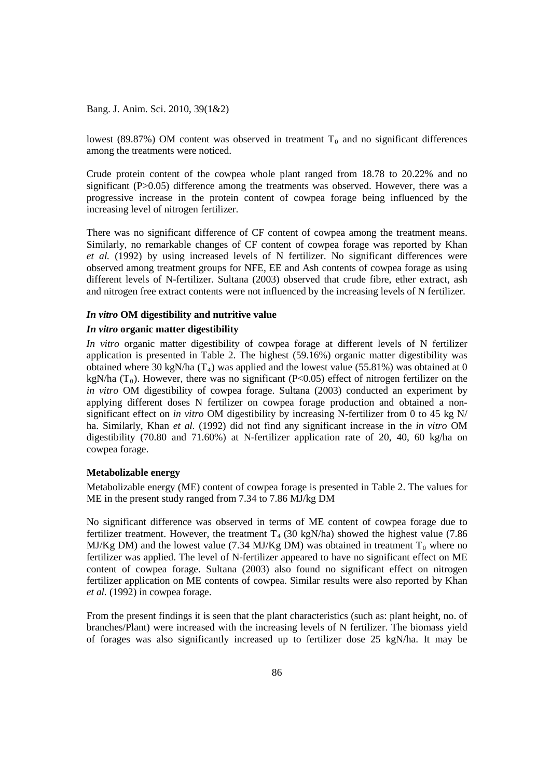Bang. J. Anim. Sci. 2010, 39(1&2)

lowest (89.87%) OM content was observed in treatment  $T_0$  and no significant differences among the treatments were noticed.

Crude protein content of the cowpea whole plant ranged from 18.78 to 20.22% and no significant (P>0.05) difference among the treatments was observed. However, there was a progressive increase in the protein content of cowpea forage being influenced by the increasing level of nitrogen fertilizer.

There was no significant difference of CF content of cowpea among the treatment means. Similarly, no remarkable changes of CF content of cowpea forage was reported by Khan *et al.* (1992) by using increased levels of N fertilizer. No significant differences were observed among treatment groups for NFE, EE and Ash contents of cowpea forage as using different levels of N-fertilizer. Sultana (2003) observed that crude fibre, ether extract, ash and nitrogen free extract contents were not influenced by the increasing levels of N fertilizer.

### *In vitro* **OM digestibility and nutritive value**

#### *In vitro* **organic matter digestibility**

*In vitro* organic matter digestibility of cowpea forage at different levels of N fertilizer application is presented in Table 2. The highest (59.16%) organic matter digestibility was obtained where 30 kgN/ha  $(T_4)$  was applied and the lowest value (55.81%) was obtained at 0 kgN/ha  $(T_0)$ . However, there was no significant (P<0.05) effect of nitrogen fertilizer on the *in vitro* OM digestibility of cowpea forage. Sultana (2003) conducted an experiment by applying different doses N fertilizer on cowpea forage production and obtained a nonsignificant effect on *in vitro* OM digestibility by increasing N-fertilizer from 0 to 45 kg N/ ha. Similarly, Khan *et al.* (1992) did not find any significant increase in the *in vitro* OM digestibility (70.80 and 71.60%) at N-fertilizer application rate of 20, 40, 60 kg/ha on cowpea forage.

### **Metabolizable energy**

Metabolizable energy (ME) content of cowpea forage is presented in Table 2. The values for ME in the present study ranged from 7.34 to 7.86 MJ/kg DM

No significant difference was observed in terms of ME content of cowpea forage due to fertilizer treatment. However, the treatment  $T_4$  (30 kgN/ha) showed the highest value (7.86 MJ/Kg DM) and the lowest value (7.34 MJ/Kg DM) was obtained in treatment  $T_0$  where no fertilizer was applied. The level of N-fertilizer appeared to have no significant effect on ME content of cowpea forage. Sultana (2003) also found no significant effect on nitrogen fertilizer application on ME contents of cowpea. Similar results were also reported by Khan *et al.* (1992) in cowpea forage.

From the present findings it is seen that the plant characteristics (such as: plant height, no. of branches/Plant) were increased with the increasing levels of N fertilizer. The biomass yield of forages was also significantly increased up to fertilizer dose 25 kgN/ha. It may be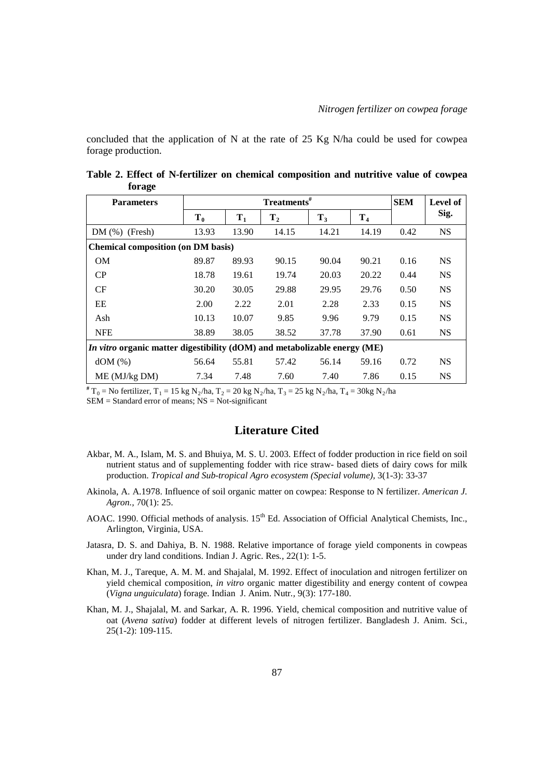concluded that the application of N at the rate of 25 Kg N/ha could be used for cowpea forage production.

| <b>Parameters</b>                                                         |       |       | <b>SEM</b>     | <b>Level of</b> |         |      |           |  |  |  |  |
|---------------------------------------------------------------------------|-------|-------|----------------|-----------------|---------|------|-----------|--|--|--|--|
|                                                                           | $T_0$ | $T_1$ | T <sub>2</sub> | $T_3$           | $T_{4}$ |      | Sig.      |  |  |  |  |
| $DM(\%)$ (Fresh)                                                          | 13.93 | 13.90 | 14.15          | 14.21           | 14.19   | 0.42 | <b>NS</b> |  |  |  |  |
| <b>Chemical composition (on DM basis)</b>                                 |       |       |                |                 |         |      |           |  |  |  |  |
| <b>OM</b>                                                                 | 89.87 | 89.93 | 90.15          | 90.04           | 90.21   | 0.16 | <b>NS</b> |  |  |  |  |
| CP                                                                        | 18.78 | 19.61 | 19.74          | 20.03           | 20.22   | 0.44 | <b>NS</b> |  |  |  |  |
| CF                                                                        | 30.20 | 30.05 | 29.88          | 29.95           | 29.76   | 0.50 | <b>NS</b> |  |  |  |  |
| EE                                                                        | 2.00  | 2.22  | 2.01           | 2.28            | 2.33    | 0.15 | <b>NS</b> |  |  |  |  |
| Ash                                                                       | 10.13 | 10.07 | 9.85           | 9.96            | 9.79    | 0.15 | <b>NS</b> |  |  |  |  |
| <b>NFE</b>                                                                | 38.89 | 38.05 | 38.52          | 37.78           | 37.90   | 0.61 | <b>NS</b> |  |  |  |  |
| In vitro organic matter digestibility (dOM) and metabolizable energy (ME) |       |       |                |                 |         |      |           |  |  |  |  |
| $dOM(\%)$                                                                 | 56.64 | 55.81 | 57.42          | 56.14           | 59.16   | 0.72 | <b>NS</b> |  |  |  |  |
| ME (MJ/kg DM)                                                             | 7.34  | 7.48  | 7.60           | 7.40            | 7.86    | 0.15 | <b>NS</b> |  |  |  |  |

**Table 2. Effect of N-fertilizer on chemical composition and nutritive value of cowpea forage**

 $*$  T<sub>0</sub> = No fertilizer, T<sub>1</sub> = 15 kg N<sub>2</sub>/ha, T<sub>2</sub> = 20 kg N<sub>2</sub>/ha, T<sub>3</sub> = 25 kg N<sub>2</sub>/ha, T<sub>4</sub> = 30kg N<sub>2</sub>/ha

 $SEM = Standard$  error of means;  $NS = Not$ -significant

# **Literature Cited**

- Akbar, M. A., Islam, M. S. and Bhuiya, M. S. U. 2003. Effect of fodder production in rice field on soil nutrient status and of supplementing fodder with rice straw- based diets of dairy cows for milk production. *Tropical and Sub-tropical Agro ecosystem (Special volume),* 3(1-3): 33-37
- Akinola, A. A.1978. Influence of soil organic matter on cowpea: Response to N fertilizer. *American J. Agron.,* 70(1): 25.
- AOAC. 1990. Official methods of analysis. 15<sup>th</sup> Ed. Association of Official Analytical Chemists, Inc., Arlington, Virginia, USA.
- Jatasra, D. S. and Dahiya, B. N. 1988. Relative importance of forage yield components in cowpeas under dry land conditions. Indian J. Agric. Res*.,* 22(1): 1-5.
- Khan, M. J., Tareque, A. M. M. and Shajalal, M. 1992. Effect of inoculation and nitrogen fertilizer on yield chemical composition, *in vitro* organic matter digestibility and energy content of cowpea (*Vigna unguiculata*) forage. Indian J. Anim. Nutr*.,* 9(3): 177-180.
- Khan, M. J., Shajalal, M. and Sarkar, A. R. 1996. Yield, chemical composition and nutritive value of oat (*Avena sativa*) fodder at different levels of nitrogen fertilizer. Bangladesh J. Anim. Sci*.,* 25(1-2): 109-115.